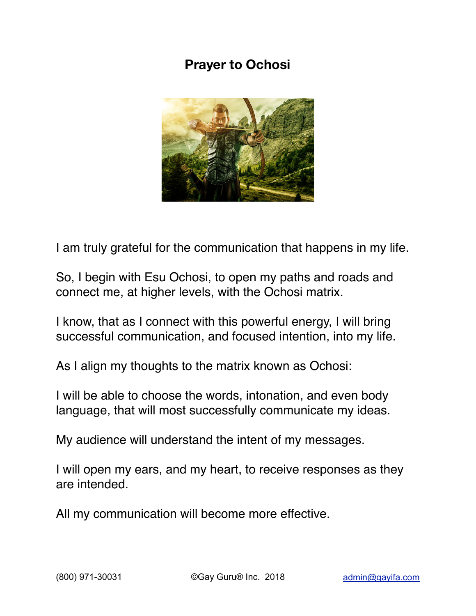## **Prayer to Ochosi**



I am truly grateful for the communication that happens in my life.

So, I begin with Esu Ochosi, to open my paths and roads and connect me, at higher levels, with the Ochosi matrix.

I know, that as I connect with this powerful energy, I will bring successful communication, and focused intention, into my life.

As I align my thoughts to the matrix known as Ochosi:

I will be able to choose the words, intonation, and even body language, that will most successfully communicate my ideas.

My audience will understand the intent of my messages.

I will open my ears, and my heart, to receive responses as they are intended.

All my communication will become more effective.